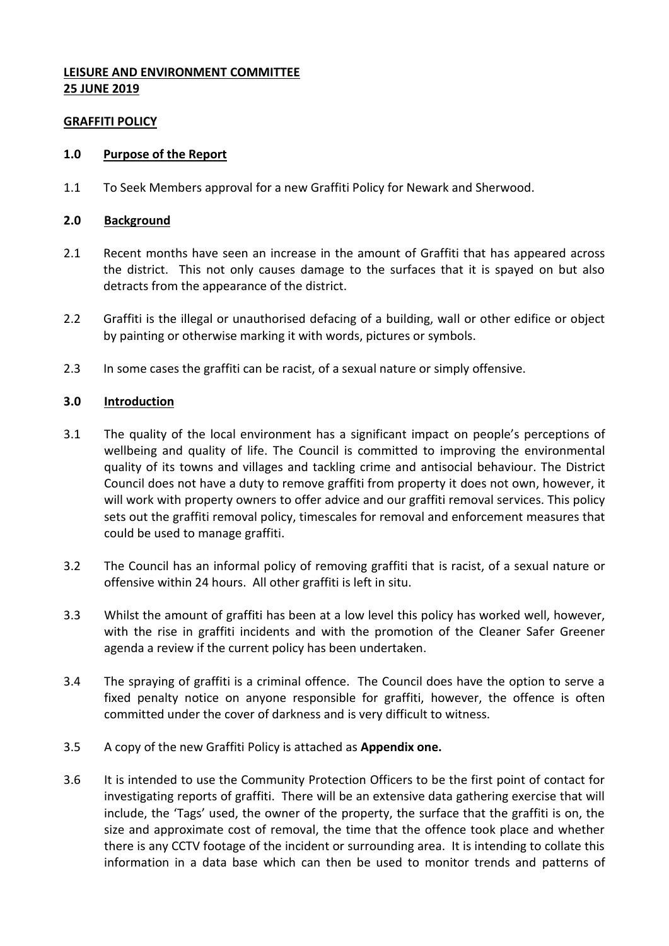# **LEISURE AND ENVIRONMENT COMMITTEE 25 JUNE 2019**

## **GRAFFITI POLICY**

#### **1.0 Purpose of the Report**

1.1 To Seek Members approval for a new Graffiti Policy for Newark and Sherwood.

#### **2.0 Background**

- 2.1 Recent months have seen an increase in the amount of Graffiti that has appeared across the district. This not only causes damage to the surfaces that it is spayed on but also detracts from the appearance of the district.
- 2.2 Graffiti is the illegal or unauthorised defacing of a building, wall or other edifice or object by painting or otherwise marking it with words, pictures or symbols.
- 2.3 In some cases the graffiti can be racist, of a sexual nature or simply offensive.

## **3.0 Introduction**

- 3.1 The quality of the local environment has a significant impact on people's perceptions of wellbeing and quality of life. The Council is committed to improving the environmental quality of its towns and villages and tackling crime and antisocial behaviour. The District Council does not have a duty to remove graffiti from property it does not own, however, it will work with property owners to offer advice and our graffiti removal services. This policy sets out the graffiti removal policy, timescales for removal and enforcement measures that could be used to manage graffiti.
- 3.2 The Council has an informal policy of removing graffiti that is racist, of a sexual nature or offensive within 24 hours. All other graffiti is left in situ.
- 3.3 Whilst the amount of graffiti has been at a low level this policy has worked well, however, with the rise in graffiti incidents and with the promotion of the Cleaner Safer Greener agenda a review if the current policy has been undertaken.
- 3.4 The spraying of graffiti is a criminal offence. The Council does have the option to serve a fixed penalty notice on anyone responsible for graffiti, however, the offence is often committed under the cover of darkness and is very difficult to witness.
- 3.5 A copy of the new Graffiti Policy is attached as **Appendix one.**
- 3.6 It is intended to use the Community Protection Officers to be the first point of contact for investigating reports of graffiti. There will be an extensive data gathering exercise that will include, the 'Tags' used, the owner of the property, the surface that the graffiti is on, the size and approximate cost of removal, the time that the offence took place and whether there is any CCTV footage of the incident or surrounding area. It is intending to collate this information in a data base which can then be used to monitor trends and patterns of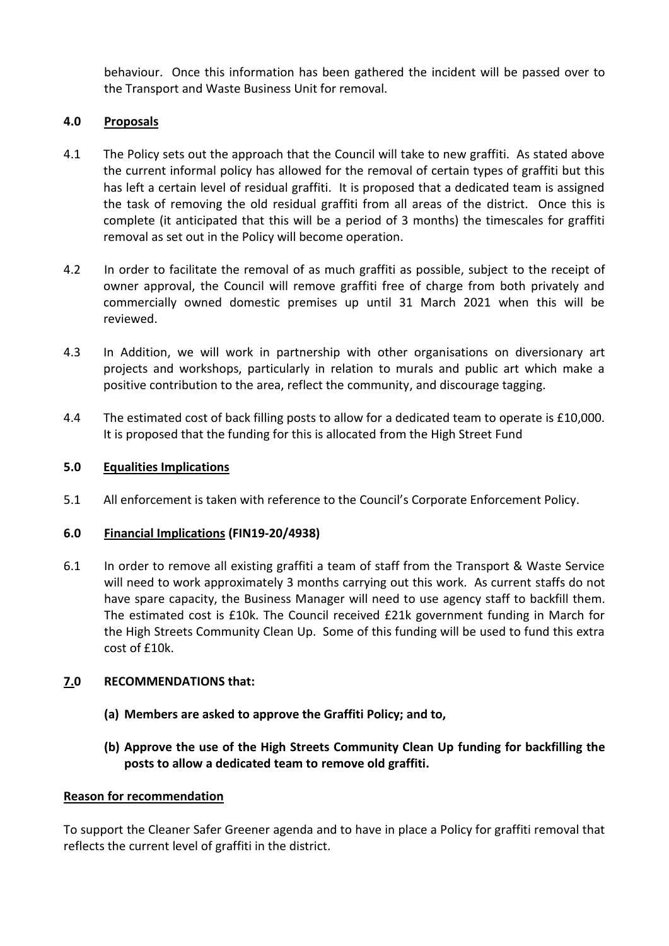behaviour. Once this information has been gathered the incident will be passed over to the Transport and Waste Business Unit for removal.

## **4.0 Proposals**

- 4.1 The Policy sets out the approach that the Council will take to new graffiti. As stated above the current informal policy has allowed for the removal of certain types of graffiti but this has left a certain level of residual graffiti. It is proposed that a dedicated team is assigned the task of removing the old residual graffiti from all areas of the district. Once this is complete (it anticipated that this will be a period of 3 months) the timescales for graffiti removal as set out in the Policy will become operation.
- 4.2 In order to facilitate the removal of as much graffiti as possible, subject to the receipt of owner approval, the Council will remove graffiti free of charge from both privately and commercially owned domestic premises up until 31 March 2021 when this will be reviewed.
- 4.3 In Addition, we will work in partnership with other organisations on diversionary art projects and workshops, particularly in relation to murals and public art which make a positive contribution to the area, reflect the community, and discourage tagging.
- 4.4 The estimated cost of back filling posts to allow for a dedicated team to operate is £10,000. It is proposed that the funding for this is allocated from the High Street Fund

## **5.0 Equalities Implications**

5.1 All enforcement is taken with reference to the Council's Corporate Enforcement Policy.

## **6.0 Financial Implications (FIN19-20/4938)**

6.1 In order to remove all existing graffiti a team of staff from the Transport & Waste Service will need to work approximately 3 months carrying out this work. As current staffs do not have spare capacity, the Business Manager will need to use agency staff to backfill them. The estimated cost is £10k. The Council received £21k government funding in March for the High Streets Community Clean Up. Some of this funding will be used to fund this extra cost of £10k.

# **7.0 RECOMMENDATIONS that:**

- **(a) Members are asked to approve the Graffiti Policy; and to,**
- **(b) Approve the use of the High Streets Community Clean Up funding for backfilling the posts to allow a dedicated team to remove old graffiti.**

## **Reason for recommendation**

To support the Cleaner Safer Greener agenda and to have in place a Policy for graffiti removal that reflects the current level of graffiti in the district.